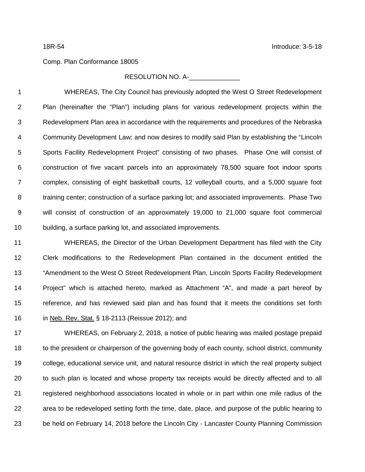## Comp. Plan Conformance 18005

## RESOLUTION NO. A-

 WHEREAS, The City Council has previously adopted the West O Street Redevelopment Plan (hereinafter the "Plan") including plans for various redevelopment projects within the Redevelopment Plan area in accordance with the requirements and procedures of the Nebraska Community Development Law; and now desires to modify said Plan by establishing the "Lincoln Sports Facility Redevelopment Project" consisting of two phases. Phase One will consist of construction of five vacant parcels into an approximately 78,500 square foot indoor sports complex, consisting of eight basketball courts, 12 volleyball courts, and a 5,000 square foot training center; construction of a surface parking lot; and associated improvements. Phase Two will consist of construction of an approximately 19,000 to 21,000 square foot commercial building, a surface parking lot, and associated improvements.

 WHEREAS, the Director of the Urban Development Department has filed with the City Clerk modifications to the Redevelopment Plan contained in the document entitled the 13 "Amendment to the West O Street Redevelopment Plan, Lincoln Sports Facility Redevelopment Project" which is attached hereto, marked as Attachment "A", and made a part hereof by reference, and has reviewed said plan and has found that it meets the conditions set forth in Neb. Rev. Stat. § 18-2113 (Reissue 2012); and

 WHEREAS, on February 2, 2018, a notice of public hearing was mailed postage prepaid 18 to the president or chairperson of the governing body of each county, school district, community college, educational service unit, and natural resource district in which the real property subject to such plan is located and whose property tax receipts would be directly affected and to all registered neighborhood associations located in whole or in part within one mile radius of the area to be redeveloped setting forth the time, date, place, and purpose of the public hearing to be held on February 14, 2018 before the Lincoln City - Lancaster County Planning Commission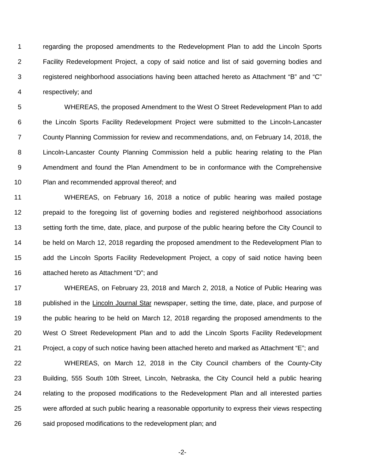regarding the proposed amendments to the Redevelopment Plan to add the Lincoln Sports Facility Redevelopment Project, a copy of said notice and list of said governing bodies and registered neighborhood associations having been attached hereto as Attachment "B" and "C" respectively; and

 WHEREAS, the proposed Amendment to the West O Street Redevelopment Plan to add the Lincoln Sports Facility Redevelopment Project were submitted to the Lincoln-Lancaster County Planning Commission for review and recommendations, and, on February 14, 2018, the Lincoln-Lancaster County Planning Commission held a public hearing relating to the Plan Amendment and found the Plan Amendment to be in conformance with the Comprehensive Plan and recommended approval thereof; and

 WHEREAS, on February 16, 2018 a notice of public hearing was mailed postage prepaid to the foregoing list of governing bodies and registered neighborhood associations setting forth the time, date, place, and purpose of the public hearing before the City Council to be held on March 12, 2018 regarding the proposed amendment to the Redevelopment Plan to add the Lincoln Sports Facility Redevelopment Project, a copy of said notice having been attached hereto as Attachment "D"; and

 WHEREAS, on February 23, 2018 and March 2, 2018, a Notice of Public Hearing was published in the Lincoln Journal Star newspaper, setting the time, date, place, and purpose of the public hearing to be held on March 12, 2018 regarding the proposed amendments to the West O Street Redevelopment Plan and to add the Lincoln Sports Facility Redevelopment Project, a copy of such notice having been attached hereto and marked as Attachment "E"; and

 WHEREAS, on March 12, 2018 in the City Council chambers of the County-City Building, 555 South 10th Street, Lincoln, Nebraska, the City Council held a public hearing 24 relating to the proposed modifications to the Redevelopment Plan and all interested parties were afforded at such public hearing a reasonable opportunity to express their views respecting 26 said proposed modifications to the redevelopment plan; and

-2-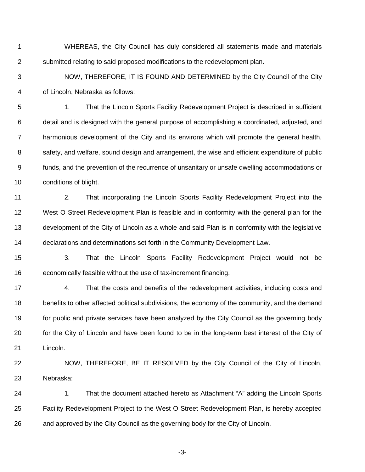- WHEREAS, the City Council has duly considered all statements made and materials submitted relating to said proposed modifications to the redevelopment plan.
- NOW, THEREFORE, IT IS FOUND AND DETERMINED by the City Council of the City of Lincoln, Nebraska as follows:

 1. That the Lincoln Sports Facility Redevelopment Project is described in sufficient detail and is designed with the general purpose of accomplishing a coordinated, adjusted, and harmonious development of the City and its environs which will promote the general health, safety, and welfare, sound design and arrangement, the wise and efficient expenditure of public funds, and the prevention of the recurrence of unsanitary or unsafe dwelling accommodations or conditions of blight.

 2. That incorporating the Lincoln Sports Facility Redevelopment Project into the West O Street Redevelopment Plan is feasible and in conformity with the general plan for the development of the City of Lincoln as a whole and said Plan is in conformity with the legislative declarations and determinations set forth in the Community Development Law.

 3. That the Lincoln Sports Facility Redevelopment Project would not be economically feasible without the use of tax-increment financing.

 4. That the costs and benefits of the redevelopment activities, including costs and benefits to other affected political subdivisions, the economy of the community, and the demand 19 for public and private services have been analyzed by the City Council as the governing body for the City of Lincoln and have been found to be in the long-term best interest of the City of Lincoln.

 NOW, THEREFORE, BE IT RESOLVED by the City Council of the City of Lincoln, Nebraska:

24 1. That the document attached hereto as Attachment "A" adding the Lincoln Sports Facility Redevelopment Project to the West O Street Redevelopment Plan, is hereby accepted and approved by the City Council as the governing body for the City of Lincoln.

-3-